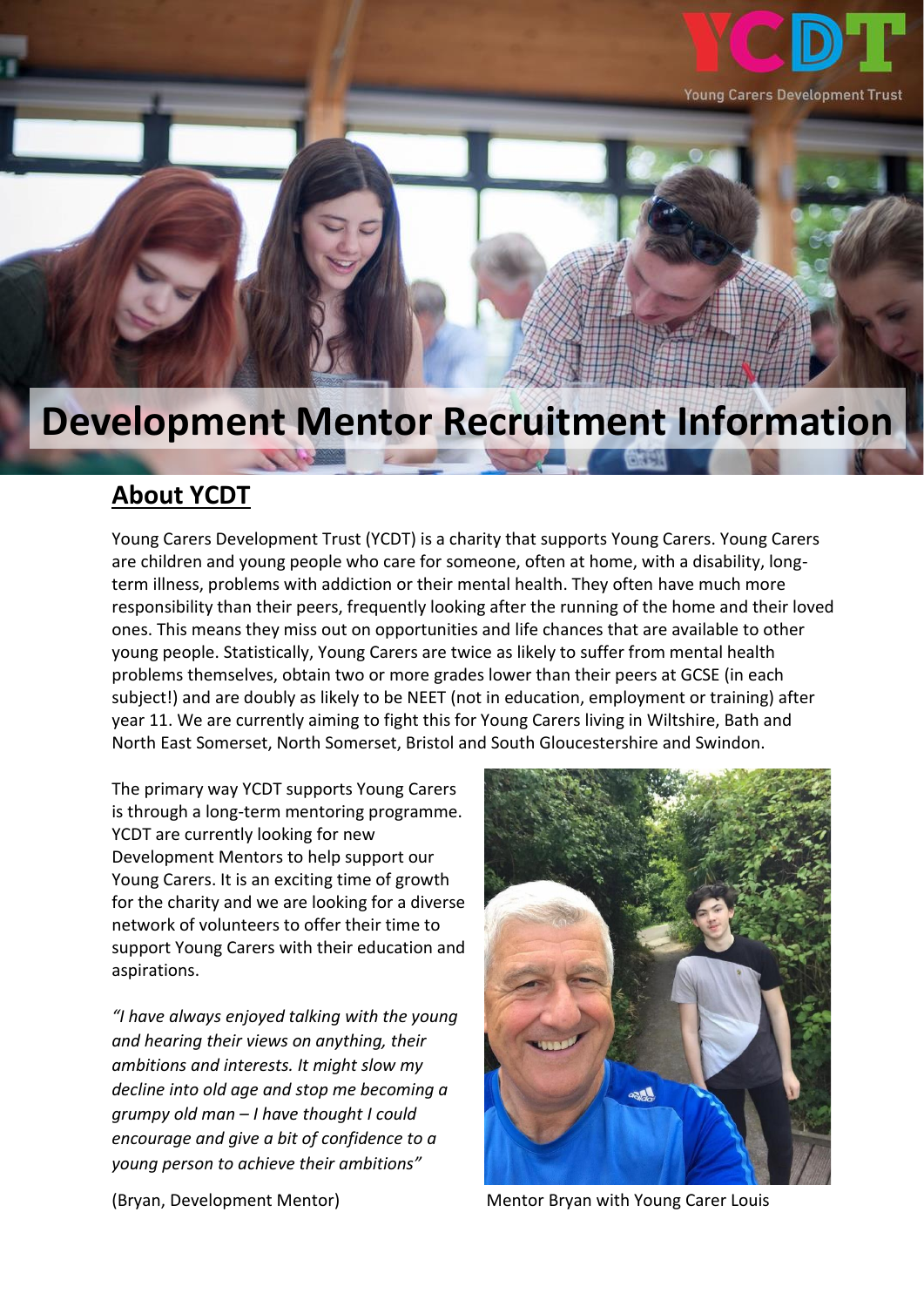

## **Development Mentor Recruitment Information**

## **About YCDT**

Young Carers Development Trust (YCDT) is a charity that supports Young Carers. Young Carers are children and young people who care for someone, often at home, with a disability, longterm illness, problems with addiction or their mental health. They often have much more responsibility than their peers, frequently looking after the running of the home and their loved ones. This means they miss out on opportunities and life chances that are available to other young people. Statistically, Young Carers are twice as likely to suffer from mental health problems themselves, obtain two or more grades lower than their peers at GCSE (in each subject!) and are doubly as likely to be NEET (not in education, employment or training) after year 11. We are currently aiming to fight this for Young Carers living in Wiltshire, Bath and North East Somerset, North Somerset, Bristol and South Gloucestershire and Swindon.

The primary way YCDT supports Young Carers is through a long-term mentoring programme. YCDT are currently looking for new Development Mentors to help support our Young Carers. It is an exciting time of growth for the charity and we are looking for a diverse network of volunteers to offer their time to support Young Carers with their education and aspirations.

*"I have always enjoyed talking with the young and hearing their views on anything, their ambitions and interests. It might slow my decline into old age and stop me becoming a grumpy old man – I have thought I could encourage and give a bit of confidence to a young person to achieve their ambitions"*



(Bryan, Development Mentor) Mentor Bryan with Young Carer Louis